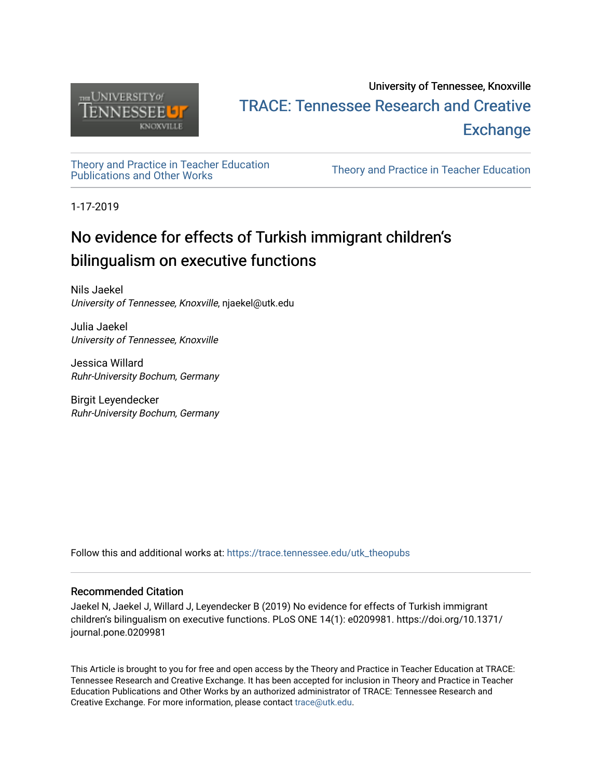

## University of Tennessee, Knoxville TRACE: T[ennessee Research and Cr](https://trace.tennessee.edu/)eative **Exchange**

# [Theory and Practice in Teacher Education](https://trace.tennessee.edu/utk_theopubs)

Theory and Practice in Teacher Education

1-17-2019

## No evidence for effects of Turkish immigrant children's bilingualism on executive functions

Nils Jaekel University of Tennessee, Knoxville, njaekel@utk.edu

Julia Jaekel University of Tennessee, Knoxville

Jessica Willard Ruhr-University Bochum, Germany

Birgit Leyendecker Ruhr-University Bochum, Germany

Follow this and additional works at: [https://trace.tennessee.edu/utk\\_theopubs](https://trace.tennessee.edu/utk_theopubs?utm_source=trace.tennessee.edu%2Futk_theopubs%2F20&utm_medium=PDF&utm_campaign=PDFCoverPages)

#### Recommended Citation

Jaekel N, Jaekel J, Willard J, Leyendecker B (2019) No evidence for effects of Turkish immigrant children's bilingualism on executive functions. PLoS ONE 14(1): e0209981. https://doi.org/10.1371/ journal.pone.0209981

This Article is brought to you for free and open access by the Theory and Practice in Teacher Education at TRACE: Tennessee Research and Creative Exchange. It has been accepted for inclusion in Theory and Practice in Teacher Education Publications and Other Works by an authorized administrator of TRACE: Tennessee Research and Creative Exchange. For more information, please contact [trace@utk.edu](mailto:trace@utk.edu).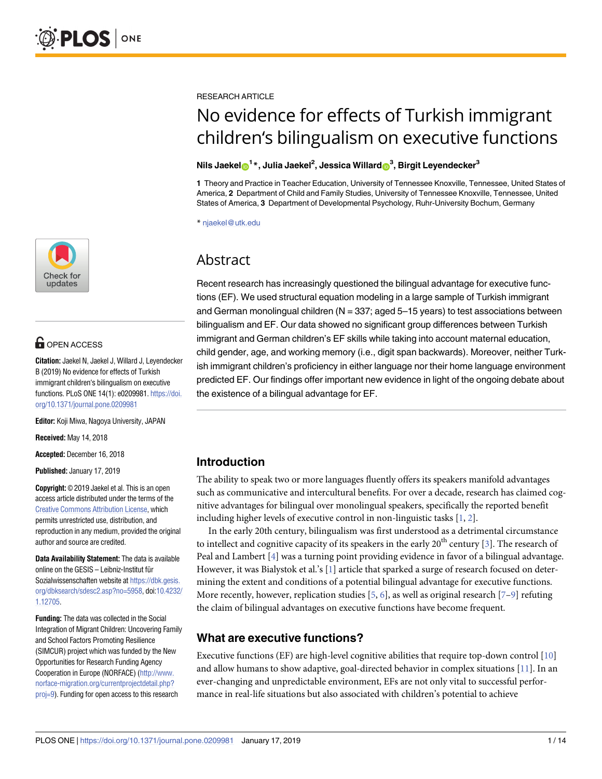

### **OPEN ACCESS**

**Citation:** Jaekel N, Jaekel J, Willard J, Leyendecker B (2019) No evidence for effects of Turkish immigrant children's bilingualism on executive functions. PLoS ONE 14(1): e0209981. [https://doi.](https://doi.org/10.1371/journal.pone.0209981) [org/10.1371/journal.pone.0209981](https://doi.org/10.1371/journal.pone.0209981)

**Editor:** Koji Miwa, Nagoya University, JAPAN

**Received:** May 14, 2018

**Accepted:** December 16, 2018

**Published:** January 17, 2019

**Copyright:** © 2019 Jaekel et al. This is an open access article distributed under the terms of the Creative Commons [Attribution](http://creativecommons.org/licenses/by/4.0/) License, which permits unrestricted use, distribution, and reproduction in any medium, provided the original author and source are credited.

**Data Availability Statement:** The data is available online on the GESIS - Leibniz-Institut für Sozialwissenschaften website at [https://dbk.gesis.](https://dbk.gesis.org/dbksearch/sdesc2.asp?no=5958) [org/dbksearch/sdesc2.asp?no=5958,](https://dbk.gesis.org/dbksearch/sdesc2.asp?no=5958) doi[:10.4232/](https://doi.org/10.4232/1.12705) [1.12705](https://doi.org/10.4232/1.12705).

**Funding:** The data was collected in the Social Integration of Migrant Children: Uncovering Family and School Factors Promoting Resilience (SIMCUR) project which was funded by the New Opportunities for Research Funding Agency Cooperation in Europe (NORFACE) [\(http://www.](http://www.norface-migration.org/currentprojectdetail.php?proj=9) [norface-migration.org/currentprojectdetail.php?](http://www.norface-migration.org/currentprojectdetail.php?proj=9) [proj=9](http://www.norface-migration.org/currentprojectdetail.php?proj=9)). Funding for open access to this research

<span id="page-1-0"></span>RESEARCH ARTICLE

## No evidence for effects of Turkish immigrant children's bilingualism on executive functions

#### $\mathbf{N}$ ils Jaekel $\mathbf{O}^{1\,\ast}$ , Julia Jaekel $^{2}$ , Jessica Willard $\mathbf{O}^{3}$ , Birgit Leyendecker $^{3}$

**1** Theory and Practice in Teacher Education, University of Tennessee Knoxville, Tennessee, United States of America, **2** Department of Child and Family Studies, University of Tennessee Knoxville, Tennessee, United States of America, **3** Department of Developmental Psychology, Ruhr-University Bochum, Germany

\* njaekel@utk.edu

### Abstract

Recent research has increasingly questioned the bilingual advantage for executive functions (EF). We used structural equation modeling in a large sample of Turkish immigrant and German monolingual children ( $N = 337$ ; aged  $5-15$  years) to test associations between bilingualism and EF. Our data showed no significant group differences between Turkish immigrant and German children's EF skills while taking into account maternal education, child gender, age, and working memory (i.e., digit span backwards). Moreover, neither Turkish immigrant children's proficiency in either language nor their home language environment predicted EF. Our findings offer important new evidence in light of the ongoing debate about the existence of a bilingual advantage for EF.

#### **Introduction**

The ability to speak two or more languages fluently offers its speakers manifold advantages such as communicative and intercultural benefits. For over a decade, research has claimed cognitive advantages for bilingual over monolingual speakers, specifically the reported benefit including higher levels of executive control in non-linguistic tasks [[1,](#page-11-0) [2\]](#page-11-0).

In the early 20th century, bilingualism was first understood as a detrimental circumstance to intellect and cognitive capacity of its speakers in the early  $20<sup>th</sup>$  century [\[3\]](#page-11-0). The research of Peal and Lambert [[4](#page-11-0)] was a turning point providing evidence in favor of a bilingual advantage. However, it was Bialystok et al.'s [\[1\]](#page-11-0) article that sparked a surge of research focused on determining the extent and conditions of a potential bilingual advantage for executive functions. More recently, however, replication studies [\[5](#page-11-0), [6](#page-11-0)], as well as original research [[7–9\]](#page-11-0) refuting the claim of bilingual advantages on executive functions have become frequent.

#### **What are executive functions?**

Executive functions (EF) are high-level cognitive abilities that require top-down control [\[10\]](#page-11-0) and allow humans to show adaptive, goal-directed behavior in complex situations [\[11\]](#page-11-0). In an ever-changing and unpredictable environment, EFs are not only vital to successful performance in real-life situations but also associated with children's potential to achieve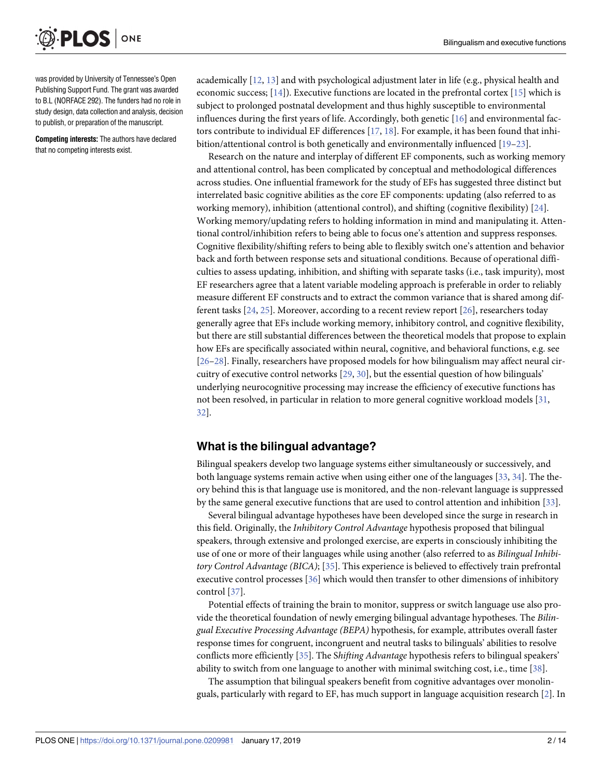<span id="page-2-0"></span>

was provided by University of Tennessee's Open Publishing Support Fund. The grant was awarded to B.L (NORFACE 292). The funders had no role in study design, data collection and analysis, decision to publish, or preparation of the manuscript.

**Competing interests:** The authors have declared that no competing interests exist.

academically [[12](#page-11-0), [13](#page-11-0)] and with psychological adjustment later in life (e.g., physical health and economic success; [\[14\]](#page-11-0)). Executive functions are located in the prefrontal cortex [[15](#page-11-0)] which is subject to prolonged postnatal development and thus highly susceptible to environmental influences during the first years of life. Accordingly, both genetic [[16](#page-11-0)] and environmental factors contribute to individual EF differences [[17](#page-11-0), [18](#page-11-0)]. For example, it has been found that inhibition/attentional control is both genetically and environmentally influenced [[19](#page-11-0)[–23\]](#page-12-0).

Research on the nature and interplay of different EF components, such as working memory and attentional control, has been complicated by conceptual and methodological differences across studies. One influential framework for the study of EFs has suggested three distinct but interrelated basic cognitive abilities as the core EF components: updating (also referred to as working memory), inhibition (attentional control), and shifting (cognitive flexibility) [\[24\]](#page-12-0). Working memory/updating refers to holding information in mind and manipulating it. Attentional control/inhibition refers to being able to focus one's attention and suppress responses. Cognitive flexibility/shifting refers to being able to flexibly switch one's attention and behavior back and forth between response sets and situational conditions. Because of operational difficulties to assess updating, inhibition, and shifting with separate tasks (i.e., task impurity), most EF researchers agree that a latent variable modeling approach is preferable in order to reliably measure different EF constructs and to extract the common variance that is shared among different tasks [[24](#page-12-0), [25](#page-12-0)]. Moreover, according to a recent review report [[26](#page-12-0)], researchers today generally agree that EFs include working memory, inhibitory control, and cognitive flexibility, but there are still substantial differences between the theoretical models that propose to explain how EFs are specifically associated within neural, cognitive, and behavioral functions, e.g. see [\[26–28\]](#page-12-0). Finally, researchers have proposed models for how bilingualism may affect neural circuitry of executive control networks [[29](#page-12-0), [30](#page-12-0)], but the essential question of how bilinguals' underlying neurocognitive processing may increase the efficiency of executive functions has not been resolved, in particular in relation to more general cognitive workload models [[31](#page-12-0), [32\]](#page-12-0).

#### **What is the bilingual advantage?**

Bilingual speakers develop two language systems either simultaneously or successively, and both language systems remain active when using either one of the languages [\[33,](#page-12-0) [34\]](#page-12-0). The theory behind this is that language use is monitored, and the non-relevant language is suppressed by the same general executive functions that are used to control attention and inhibition [\[33\]](#page-12-0).

Several bilingual advantage hypotheses have been developed since the surge in research in this field. Originally, the *Inhibitory Control Advantage* hypothesis proposed that bilingual speakers, through extensive and prolonged exercise, are experts in consciously inhibiting the use of one or more of their languages while using another (also referred to as *Bilingual Inhibitory Control Advantage (BICA)*; [[35](#page-12-0)]. This experience is believed to effectively train prefrontal executive control processes [[36](#page-12-0)] which would then transfer to other dimensions of inhibitory control [[37](#page-12-0)].

Potential effects of training the brain to monitor, suppress or switch language use also provide the theoretical foundation of newly emerging bilingual advantage hypotheses. The *Bilingual Executive Processing Advantage (BEPA)* hypothesis, for example, attributes overall faster response times for congruent, incongruent and neutral tasks to bilinguals' abilities to resolve conflicts more efficiently [\[35\]](#page-12-0). The S*hifting Advantage* hypothesis refers to bilingual speakers' ability to switch from one language to another with minimal switching cost, i.e., time [\[38\]](#page-12-0).

The assumption that bilingual speakers benefit from cognitive advantages over monolinguals, particularly with regard to EF, has much support in language acquisition research [[2](#page-11-0)]. In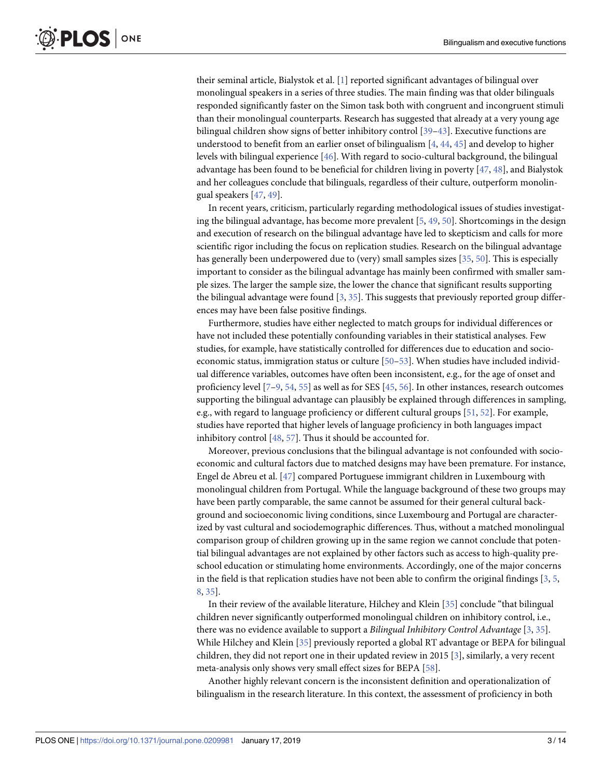<span id="page-3-0"></span>their seminal article, Bialystok et al. [\[1\]](#page-11-0) reported significant advantages of bilingual over monolingual speakers in a series of three studies. The main finding was that older bilinguals responded significantly faster on the Simon task both with congruent and incongruent stimuli than their monolingual counterparts. Research has suggested that already at a very young age bilingual children show signs of better inhibitory control [[39–43\]](#page-12-0). Executive functions are understood to benefit from an earlier onset of bilingualism [[4,](#page-11-0) [44,](#page-13-0) [45](#page-13-0)] and develop to higher levels with bilingual experience [\[46\]](#page-13-0). With regard to socio-cultural background, the bilingual advantage has been found to be beneficial for children living in poverty [[47](#page-13-0), [48](#page-13-0)], and Bialystok and her colleagues conclude that bilinguals, regardless of their culture, outperform monolingual speakers [\[47,](#page-13-0) [49\]](#page-13-0).

In recent years, criticism, particularly regarding methodological issues of studies investigating the bilingual advantage, has become more prevalent  $[5, 49, 50]$  $[5, 49, 50]$  $[5, 49, 50]$  $[5, 49, 50]$  $[5, 49, 50]$  $[5, 49, 50]$  $[5, 49, 50]$ . Shortcomings in the design and execution of research on the bilingual advantage have led to skepticism and calls for more scientific rigor including the focus on replication studies. Research on the bilingual advantage has generally been underpowered due to (very) small samples sizes [\[35](#page-12-0), [50](#page-13-0)]. This is especially important to consider as the bilingual advantage has mainly been confirmed with smaller sample sizes. The larger the sample size, the lower the chance that significant results supporting the bilingual advantage were found  $[3, 35]$  $[3, 35]$  $[3, 35]$ . This suggests that previously reported group differences may have been false positive findings.

Furthermore, studies have either neglected to match groups for individual differences or have not included these potentially confounding variables in their statistical analyses. Few studies, for example, have statistically controlled for differences due to education and socioeconomic status, immigration status or culture [\[50–53](#page-13-0)]. When studies have included individual difference variables, outcomes have often been inconsistent, e.g., for the age of onset and proficiency level [[7](#page-11-0)–[9](#page-11-0), [54](#page-13-0), [55](#page-13-0)] as well as for SES [\[45,](#page-13-0) [56\]](#page-13-0). In other instances, research outcomes supporting the bilingual advantage can plausibly be explained through differences in sampling, e.g., with regard to language proficiency or different cultural groups [[51](#page-13-0), [52](#page-13-0)]. For example, studies have reported that higher levels of language proficiency in both languages impact inhibitory control [\[48](#page-13-0), [57](#page-13-0)]. Thus it should be accounted for.

Moreover, previous conclusions that the bilingual advantage is not confounded with socioeconomic and cultural factors due to matched designs may have been premature. For instance, Engel de Abreu et al. [[47](#page-13-0)] compared Portuguese immigrant children in Luxembourg with monolingual children from Portugal. While the language background of these two groups may have been partly comparable, the same cannot be assumed for their general cultural background and socioeconomic living conditions, since Luxembourg and Portugal are characterized by vast cultural and sociodemographic differences. Thus, without a matched monolingual comparison group of children growing up in the same region we cannot conclude that potential bilingual advantages are not explained by other factors such as access to high-quality preschool education or stimulating home environments. Accordingly, one of the major concerns in the field is that replication studies have not been able to confirm the original findings  $[3, 5, 5]$  $[3, 5, 5]$  $[3, 5, 5]$  $[3, 5, 5]$ [8,](#page-11-0) [35\]](#page-12-0).

In their review of the available literature, Hilchey and Klein [\[35\]](#page-12-0) conclude "that bilingual children never significantly outperformed monolingual children on inhibitory control, i.e., there was no evidence available to support a *Bilingual Inhibitory Control Advantage* [[3,](#page-11-0) [35\]](#page-12-0). While Hilchey and Klein [\[35\]](#page-12-0) previously reported a global RT advantage or BEPA for bilingual children, they did not report one in their updated review in 2015 [[3\]](#page-11-0), similarly, a very recent meta-analysis only shows very small effect sizes for BEPA [[58](#page-13-0)].

Another highly relevant concern is the inconsistent definition and operationalization of bilingualism in the research literature. In this context, the assessment of proficiency in both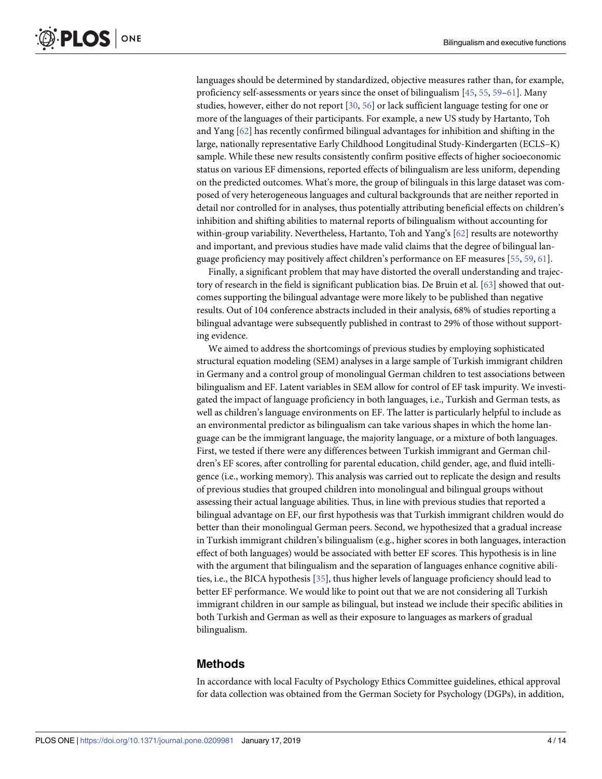<span id="page-4-0"></span>languages should be determined by standardized, objective measures rather than, for example, proficiency self-assessments or years since the onset of bilingualism [\[45,](#page-13-0) [55,](#page-13-0) [59–61](#page-13-0)]. Many studies, however, either do not report [[30](#page-12-0), [56](#page-13-0)] or lack sufficient language testing for one or more of the languages of their participants. For example, a new US study by Hartanto, Toh and Yang [[62](#page-13-0)] has recently confirmed bilingual advantages for inhibition and shifting in the large, nationally representative Early Childhood Longitudinal Study-Kindergarten (ECLS–K) sample. While these new results consistently confirm positive effects of higher socioeconomic status on various EF dimensions, reported effects of bilingualism are less uniform, depending on the predicted outcomes. What's more, the group of bilinguals in this large dataset was composed of very heterogeneous languages and cultural backgrounds that are neither reported in detail nor controlled for in analyses, thus potentially attributing beneficial effects on children's inhibition and shifting abilities to maternal reports of bilingualism without accounting for within-group variability. Nevertheless, Hartanto, Toh and Yang's [\[62\]](#page-13-0) results are noteworthy and important, and previous studies have made valid claims that the degree of bilingual language proficiency may positively affect children's performance on EF measures [\[55,](#page-13-0) [59,](#page-13-0) [61\]](#page-13-0).

Finally, a significant problem that may have distorted the overall understanding and trajectory of research in the field is significant publication bias. De Bruin et al. [\[63\]](#page-13-0) showed that outcomes supporting the bilingual advantage were more likely to be published than negative results. Out of 104 conference abstracts included in their analysis, 68% of studies reporting a bilingual advantage were subsequently published in contrast to 29% of those without supporting evidence.

We aimed to address the shortcomings of previous studies by employing sophisticated structural equation modeling (SEM) analyses in a large sample of Turkish immigrant children in Germany and a control group of monolingual German children to test associations between bilingualism and EF. Latent variables in SEM allow for control of EF task impurity. We investigated the impact of language proficiency in both languages, i.e., Turkish and German tests, as well as children's language environments on EF. The latter is particularly helpful to include as an environmental predictor as bilingualism can take various shapes in which the home language can be the immigrant language, the majority language, or a mixture of both languages. First, we tested if there were any differences between Turkish immigrant and German children's EF scores, after controlling for parental education, child gender, age, and fluid intelligence (i.e., working memory). This analysis was carried out to replicate the design and results of previous studies that grouped children into monolingual and bilingual groups without assessing their actual language abilities. Thus, in line with previous studies that reported a bilingual advantage on EF, our first hypothesis was that Turkish immigrant children would do better than their monolingual German peers. Second, we hypothesized that a gradual increase in Turkish immigrant children's bilingualism (e.g., higher scores in both languages, interaction effect of both languages) would be associated with better EF scores. This hypothesis is in line with the argument that bilingualism and the separation of languages enhance cognitive abilities, i.e., the BICA hypothesis [\[35\]](#page-12-0), thus higher levels of language proficiency should lead to better EF performance. We would like to point out that we are not considering all Turkish immigrant children in our sample as bilingual, but instead we include their specific abilities in both Turkish and German as well as their exposure to languages as markers of gradual bilingualism.

#### **Methods**

In accordance with local Faculty of Psychology Ethics Committee guidelines, ethical approval for data collection was obtained from the German Society for Psychology (DGPs), in addition,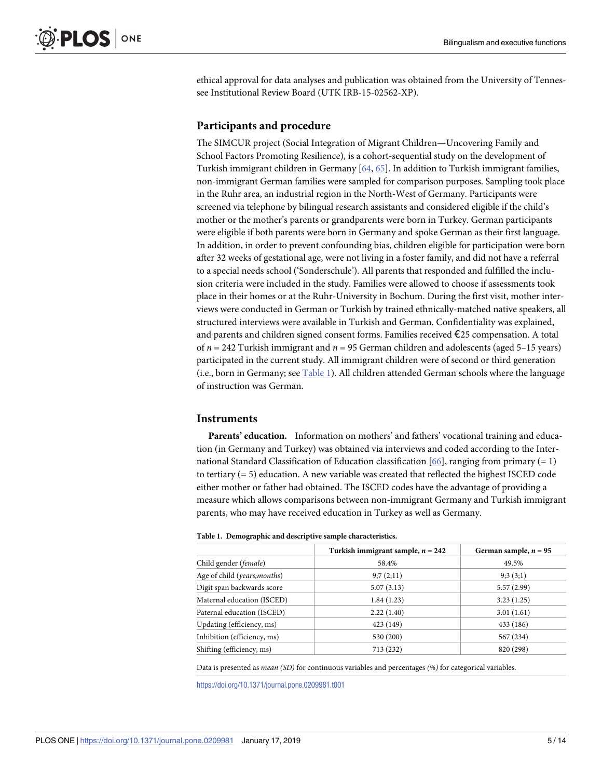<span id="page-5-0"></span>ethical approval for data analyses and publication was obtained from the University of Tennessee Institutional Review Board (UTK IRB-15-02562-XP).

#### **Participants and procedure**

The SIMCUR project (Social Integration of Migrant Children—Uncovering Family and School Factors Promoting Resilience), is a cohort-sequential study on the development of Turkish immigrant children in Germany [\[64,](#page-13-0) [65\]](#page-14-0). In addition to Turkish immigrant families, non-immigrant German families were sampled for comparison purposes. Sampling took place in the Ruhr area, an industrial region in the North-West of Germany. Participants were screened via telephone by bilingual research assistants and considered eligible if the child's mother or the mother's parents or grandparents were born in Turkey. German participants were eligible if both parents were born in Germany and spoke German as their first language. In addition, in order to prevent confounding bias, children eligible for participation were born after 32 weeks of gestational age, were not living in a foster family, and did not have a referral to a special needs school ('Sonderschule'). All parents that responded and fulfilled the inclusion criteria were included in the study. Families were allowed to choose if assessments took place in their homes or at the Ruhr-University in Bochum. During the first visit, mother interviews were conducted in German or Turkish by trained ethnically-matched native speakers, all structured interviews were available in Turkish and German. Confidentiality was explained, and parents and children signed consent forms. Families received €25 compensation. A total of *n* = 242 Turkish immigrant and *n* = 95 German children and adolescents (aged 5–15 years) participated in the current study. All immigrant children were of second or third generation (i.e., born in Germany; see Table 1). All children attended German schools where the language of instruction was German.

#### **Instruments**

**Parents' education.** Information on mothers' and fathers' vocational training and education (in Germany and Turkey) was obtained via interviews and coded according to the Inter-national Standard Classification of Education classification [\[66](#page-14-0)], ranging from primary  $(= 1)$ to tertiary  $(= 5)$  education. A new variable was created that reflected the highest ISCED code either mother or father had obtained. The ISCED codes have the advantage of providing a measure which allows comparisons between non-immigrant Germany and Turkish immigrant parents, who may have received education in Turkey as well as Germany.

|                                | Turkish immigrant sample, $n = 242$ | German sample, $n = 95$ |
|--------------------------------|-------------------------------------|-------------------------|
| Child gender ( <i>female</i> ) | 58.4%                               | 49.5%                   |
| Age of child (years; months)   | 9:7(2:11)                           | 9:3(3:1)                |
| Digit span backwards score     | 5.07(3.13)                          | 5.57(2.99)              |
| Maternal education (ISCED)     | 1.84(1.23)                          | 3.23(1.25)              |
| Paternal education (ISCED)     | 2.22(1.40)                          | 3.01(1.61)              |
| Updating (efficiency, ms)      | 423 (149)                           | 433 (186)               |
| Inhibition (efficiency, ms)    | 530 (200)                           | 567 (234)               |
| Shifting (efficiency, ms)      | 713 (232)                           | 820 (298)               |

Data is presented as *mean (SD)* for continuous variables and percentages *(%)* for categorical variables.

<https://doi.org/10.1371/journal.pone.0209981.t001>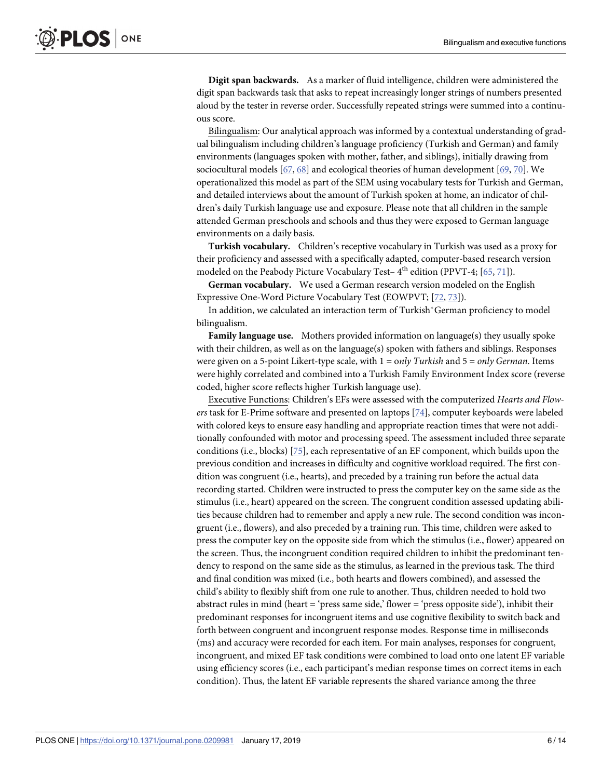<span id="page-6-0"></span>**Digit span backwards.** As a marker of fluid intelligence, children were administered the digit span backwards task that asks to repeat increasingly longer strings of numbers presented aloud by the tester in reverse order. Successfully repeated strings were summed into a continuous score.

Bilingualism: Our analytical approach was informed by a contextual understanding of gradual bilingualism including children's language proficiency (Turkish and German) and family environments (languages spoken with mother, father, and siblings), initially drawing from sociocultural models [\[67,](#page-14-0) [68\]](#page-14-0) and ecological theories of human development [\[69,](#page-14-0) [70\]](#page-14-0). We operationalized this model as part of the SEM using vocabulary tests for Turkish and German, and detailed interviews about the amount of Turkish spoken at home, an indicator of children's daily Turkish language use and exposure. Please note that all children in the sample attended German preschools and schools and thus they were exposed to German language environments on a daily basis.

**Turkish vocabulary.** Children's receptive vocabulary in Turkish was used as a proxy for their proficiency and assessed with a specifically adapted, computer-based research version modeled on the Peabody Picture Vocabulary Test– $4<sup>th</sup>$  edition (PPVT-4; [[65](#page-14-0), [71](#page-14-0)]).

**German vocabulary.** We used a German research version modeled on the English Expressive One-Word Picture Vocabulary Test (EOWPVT; [[72](#page-14-0), [73](#page-14-0)]).

In addition, we calculated an interaction term of Turkish\*German proficiency to model bilingualism.

**Family language use.** Mothers provided information on language(s) they usually spoke with their children, as well as on the language(s) spoken with fathers and siblings. Responses were given on a 5-point Likert-type scale, with 1 = o*nly Turkish* and 5 = *only German*. Items were highly correlated and combined into a Turkish Family Environment Index score (reverse coded, higher score reflects higher Turkish language use).

Executive Functions: Children's EFs were assessed with the computerized *Hearts and Flowers* task for E-Prime software and presented on laptops [\[74\]](#page-14-0), computer keyboards were labeled with colored keys to ensure easy handling and appropriate reaction times that were not additionally confounded with motor and processing speed. The assessment included three separate conditions (i.e., blocks) [\[75\]](#page-14-0), each representative of an EF component, which builds upon the previous condition and increases in difficulty and cognitive workload required. The first condition was congruent (i.e., hearts), and preceded by a training run before the actual data recording started. Children were instructed to press the computer key on the same side as the stimulus (i.e., heart) appeared on the screen. The congruent condition assessed updating abilities because children had to remember and apply a new rule. The second condition was incongruent (i.e., flowers), and also preceded by a training run. This time, children were asked to press the computer key on the opposite side from which the stimulus (i.e., flower) appeared on the screen. Thus, the incongruent condition required children to inhibit the predominant tendency to respond on the same side as the stimulus, as learned in the previous task. The third and final condition was mixed (i.e., both hearts and flowers combined), and assessed the child's ability to flexibly shift from one rule to another. Thus, children needed to hold two abstract rules in mind (heart = 'press same side,' flower = 'press opposite side'), inhibit their predominant responses for incongruent items and use cognitive flexibility to switch back and forth between congruent and incongruent response modes. Response time in milliseconds (ms) and accuracy were recorded for each item. For main analyses, responses for congruent, incongruent, and mixed EF task conditions were combined to load onto one latent EF variable using efficiency scores (i.e., each participant's median response times on correct items in each condition). Thus, the latent EF variable represents the shared variance among the three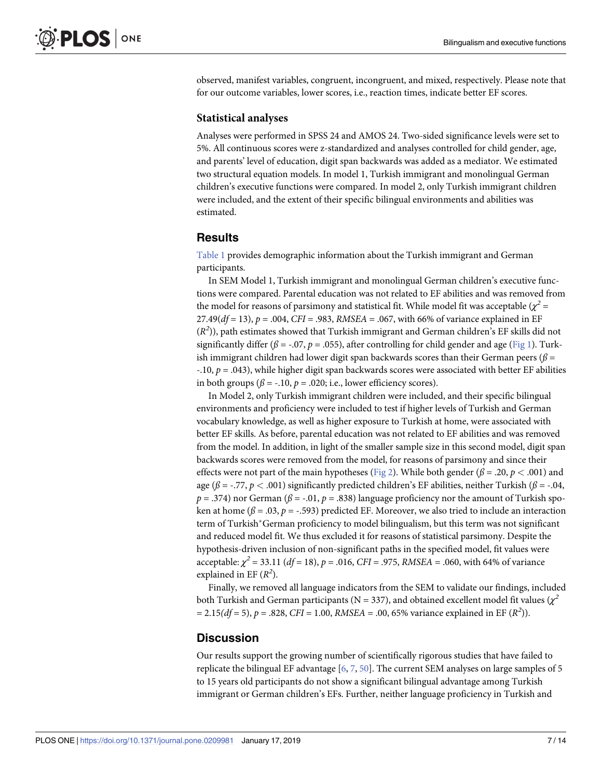<span id="page-7-0"></span>observed, manifest variables, congruent, incongruent, and mixed, respectively. Please note that for our outcome variables, lower scores, i.e., reaction times, indicate better EF scores.

#### **Statistical analyses**

Analyses were performed in SPSS 24 and AMOS 24. Two-sided significance levels were set to 5%. All continuous scores were z-standardized and analyses controlled for child gender, age, and parents' level of education, digit span backwards was added as a mediator. We estimated two structural equation models. In model 1, Turkish immigrant and monolingual German children's executive functions were compared. In model 2, only Turkish immigrant children were included, and the extent of their specific bilingual environments and abilities was estimated.

#### **Results**

[Table](#page-5-0) 1 provides demographic information about the Turkish immigrant and German participants.

In SEM Model 1, Turkish immigrant and monolingual German children's executive functions were compared. Parental education was not related to EF abilities and was removed from the model for reasons of parsimony and statistical fit. While model fit was acceptable ( $\chi^2$  = 27.49(*df* = 13), *p* = .004, *CFI* = .983, *RMSEA* = .067, with 66% of variance explained in EF (*R2* )), path estimates showed that Turkish immigrant and German children's EF skills did not significantly differ ( $\beta$  = -.07,  $p$  = .055), after controlling for child gender and age [\(Fig](#page-8-0) 1). Turkish immigrant children had lower digit span backwards scores than their German peers (*ß* = -.10, *p* = .043), while higher digit span backwards scores were associated with better EF abilities in both groups ( $\beta$  = -.10,  $p$  = .020; i.e., lower efficiency scores).

In Model 2, only Turkish immigrant children were included, and their specific bilingual environments and proficiency were included to test if higher levels of Turkish and German vocabulary knowledge, as well as higher exposure to Turkish at home, were associated with better EF skills. As before, parental education was not related to EF abilities and was removed from the model. In addition, in light of the smaller sample size in this second model, digit span backwards scores were removed from the model, for reasons of parsimony and since their effects were not part of the main hypotheses [\(Fig](#page-8-0) 2). While both gender ( $\beta = .20$ ,  $p < .001$ ) and age ( $\beta$  = -.77,  $p$  < .001) significantly predicted children's EF abilities, neither Turkish ( $\beta$  = -.04,  $p = .374$ ) nor German ( $\beta = .01$ ,  $p = .838$ ) language proficiency nor the amount of Turkish spoken at home ( $\beta$  = .03,  $p$  = -.593) predicted EF. Moreover, we also tried to include an interaction term of Turkish\*German proficiency to model bilingualism, but this term was not significant and reduced model fit. We thus excluded it for reasons of statistical parsimony. Despite the hypothesis-driven inclusion of non-significant paths in the specified model, fit values were acceptable:  $\chi^2$  = 33.11 (*df* = 18), *p* = .016, *CFI* = .975, *RMSEA* = .060, with 64% of variance explained in EF  $(R^2)$ .

Finally, we removed all language indicators from the SEM to validate our findings, included both Turkish and German participants ( $N = 337$ ), and obtained excellent model fit values ( $\chi^2$  $= 2.15(df = 5)$ ,  $p = .828$ , *CFI* = 1.00, *RMSEA* = .00, 65% variance explained in EF (*R*<sup>2</sup>)).

#### **Discussion**

Our results support the growing number of scientifically rigorous studies that have failed to replicate the bilingual EF advantage [\[6,](#page-11-0) [7](#page-11-0), [50](#page-13-0)]. The current SEM analyses on large samples of 5 to 15 years old participants do not show a significant bilingual advantage among Turkish immigrant or German children's EFs. Further, neither language proficiency in Turkish and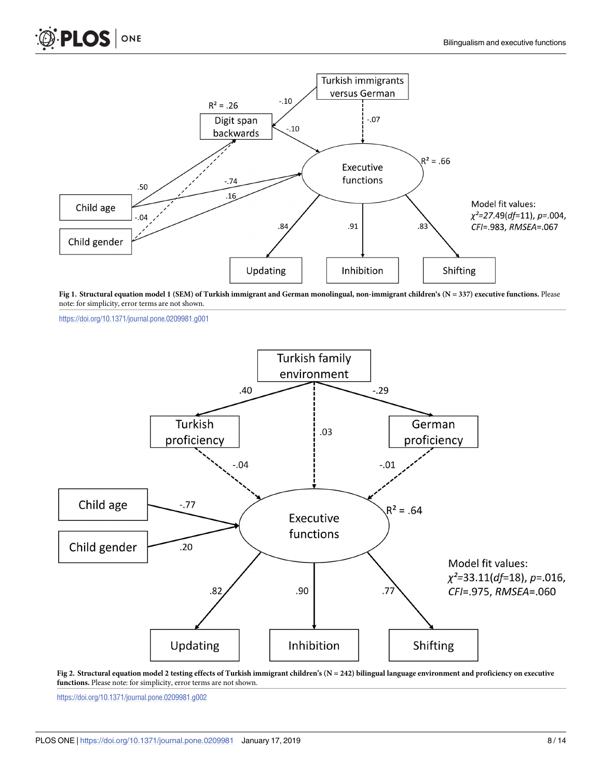<span id="page-8-0"></span>



[Fig](#page-7-0) 1. Structural equation model 1 (SEM) of Turkish immigrant and German monolingual, non-immigrant children's (N = 337) executive functions. Please note: for simplicity, error terms are not shown.

<https://doi.org/10.1371/journal.pone.0209981.g001>



[Fig](#page-7-0) 2. Structural equation model 2 testing effects of Turkish immigrant children's ( $N = 242$ ) bilingual language environment and proficiency on executive **functions.** Please note: for simplicity, error terms are not shown.

<https://doi.org/10.1371/journal.pone.0209981.g002>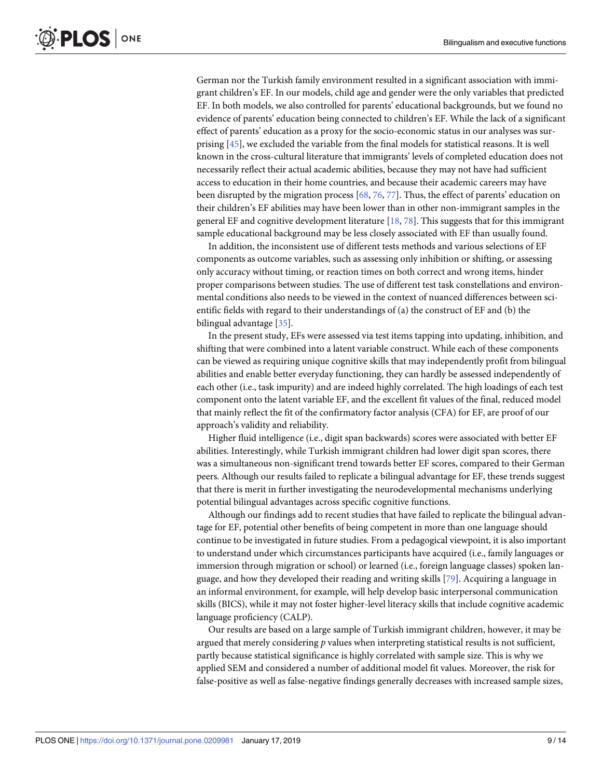<span id="page-9-0"></span>German nor the Turkish family environment resulted in a significant association with immigrant children's EF. In our models, child age and gender were the only variables that predicted EF. In both models, we also controlled for parents' educational backgrounds, but we found no evidence of parents' education being connected to children's EF. While the lack of a significant effect of parents' education as a proxy for the socio-economic status in our analyses was surprising [[45](#page-13-0)], we excluded the variable from the final models for statistical reasons. It is well known in the cross-cultural literature that immigrants' levels of completed education does not necessarily reflect their actual academic abilities, because they may not have had sufficient access to education in their home countries, and because their academic careers may have been disrupted by the migration process [\[68,](#page-14-0) [76,](#page-14-0) [77\]](#page-14-0). Thus, the effect of parents' education on their children's EF abilities may have been lower than in other non-immigrant samples in the general EF and cognitive development literature [[18](#page-11-0), [78](#page-14-0)]. This suggests that for this immigrant sample educational background may be less closely associated with EF than usually found.

In addition, the inconsistent use of different tests methods and various selections of EF components as outcome variables, such as assessing only inhibition or shifting, or assessing only accuracy without timing, or reaction times on both correct and wrong items, hinder proper comparisons between studies. The use of different test task constellations and environmental conditions also needs to be viewed in the context of nuanced differences between scientific fields with regard to their understandings of (a) the construct of EF and (b) the bilingual advantage [\[35\]](#page-12-0).

In the present study, EFs were assessed via test items tapping into updating, inhibition, and shifting that were combined into a latent variable construct. While each of these components can be viewed as requiring unique cognitive skills that may independently profit from bilingual abilities and enable better everyday functioning, they can hardly be assessed independently of each other (i.e., task impurity) and are indeed highly correlated. The high loadings of each test component onto the latent variable EF, and the excellent fit values of the final, reduced model that mainly reflect the fit of the confirmatory factor analysis (CFA) for EF, are proof of our approach's validity and reliability.

Higher fluid intelligence (i.e., digit span backwards) scores were associated with better EF abilities. Interestingly, while Turkish immigrant children had lower digit span scores, there was a simultaneous non-significant trend towards better EF scores, compared to their German peers. Although our results failed to replicate a bilingual advantage for EF, these trends suggest that there is merit in further investigating the neurodevelopmental mechanisms underlying potential bilingual advantages across specific cognitive functions.

Although our findings add to recent studies that have failed to replicate the bilingual advantage for EF, potential other benefits of being competent in more than one language should continue to be investigated in future studies. From a pedagogical viewpoint, it is also important to understand under which circumstances participants have acquired (i.e., family languages or immersion through migration or school) or learned (i.e., foreign language classes) spoken language, and how they developed their reading and writing skills [[79](#page-14-0)]. Acquiring a language in an informal environment, for example, will help develop basic interpersonal communication skills (BICS), while it may not foster higher-level literacy skills that include cognitive academic language proficiency (CALP).

Our results are based on a large sample of Turkish immigrant children, however, it may be argued that merely considering *p* values when interpreting statistical results is not sufficient, partly because statistical significance is highly correlated with sample size. This is why we applied SEM and considered a number of additional model fit values. Moreover, the risk for false-positive as well as false-negative findings generally decreases with increased sample sizes,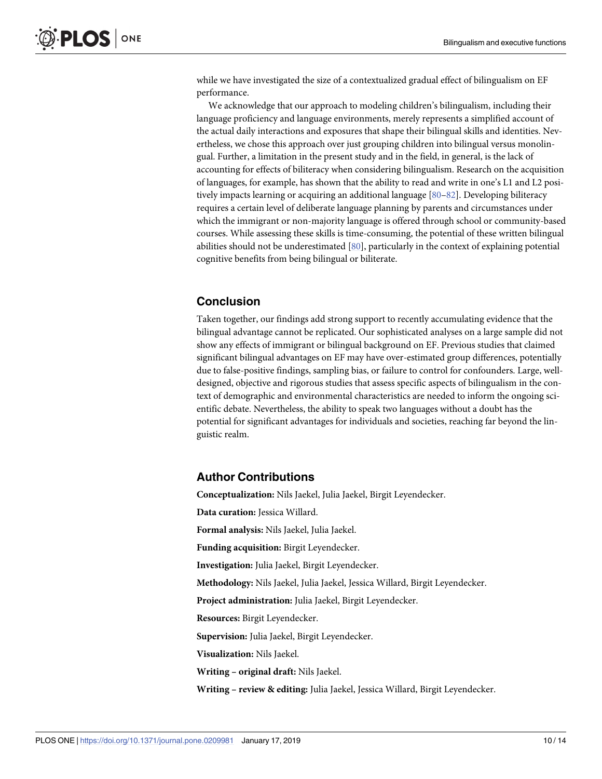<span id="page-10-0"></span>while we have investigated the size of a contextualized gradual effect of bilingualism on EF performance.

We acknowledge that our approach to modeling children's bilingualism, including their language proficiency and language environments, merely represents a simplified account of the actual daily interactions and exposures that shape their bilingual skills and identities. Nevertheless, we chose this approach over just grouping children into bilingual versus monolingual. Further, a limitation in the present study and in the field, in general, is the lack of accounting for effects of biliteracy when considering bilingualism. Research on the acquisition of languages, for example, has shown that the ability to read and write in one's L1 and L2 positively impacts learning or acquiring an additional language [80-82]. Developing biliteracy requires a certain level of deliberate language planning by parents and circumstances under which the immigrant or non-majority language is offered through school or community-based courses. While assessing these skills is time-consuming, the potential of these written bilingual abilities should not be underestimated [\[80\]](#page-14-0), particularly in the context of explaining potential cognitive benefits from being bilingual or biliterate.

#### **Conclusion**

Taken together, our findings add strong support to recently accumulating evidence that the bilingual advantage cannot be replicated. Our sophisticated analyses on a large sample did not show any effects of immigrant or bilingual background on EF. Previous studies that claimed significant bilingual advantages on EF may have over-estimated group differences, potentially due to false-positive findings, sampling bias, or failure to control for confounders. Large, welldesigned, objective and rigorous studies that assess specific aspects of bilingualism in the context of demographic and environmental characteristics are needed to inform the ongoing scientific debate. Nevertheless, the ability to speak two languages without a doubt has the potential for significant advantages for individuals and societies, reaching far beyond the linguistic realm.

#### **Author Contributions**

**Conceptualization:** Nils Jaekel, Julia Jaekel, Birgit Leyendecker. **Data curation:** Jessica Willard. **Formal analysis:** Nils Jaekel, Julia Jaekel. **Funding acquisition:** Birgit Leyendecker. **Investigation:** Julia Jaekel, Birgit Leyendecker. **Methodology:** Nils Jaekel, Julia Jaekel, Jessica Willard, Birgit Leyendecker. **Project administration:** Julia Jaekel, Birgit Leyendecker. **Resources:** Birgit Leyendecker. **Supervision:** Julia Jaekel, Birgit Leyendecker. **Visualization:** Nils Jaekel. **Writing – original draft:** Nils Jaekel. **Writing – review & editing:** Julia Jaekel, Jessica Willard, Birgit Leyendecker.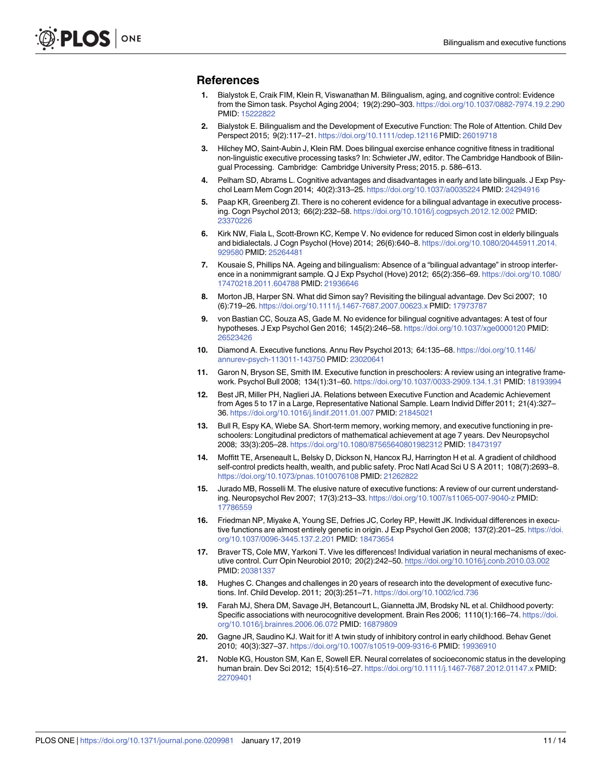#### <span id="page-11-0"></span>**References**

- **[1](#page-1-0).** Bialystok E, Craik FIM, Klein R, Viswanathan M. Bilingualism, aging, and cognitive control: Evidence from the Simon task. Psychol Aging 2004; 19(2):290–303. <https://doi.org/10.1037/0882-7974.19.2.290> PMID: [15222822](http://www.ncbi.nlm.nih.gov/pubmed/15222822)
- **[2](#page-1-0).** Bialystok E. Bilingualism and the Development of Executive Function: The Role of Attention. Child Dev Perspect 2015; 9(2):117–21. <https://doi.org/10.1111/cdep.12116> PMID: [26019718](http://www.ncbi.nlm.nih.gov/pubmed/26019718)
- **[3](#page-1-0).** Hilchey MO, Saint-Aubin J, Klein RM. Does bilingual exercise enhance cognitive fitness in traditional non-linguistic executive processing tasks? In: Schwieter JW, editor. The Cambridge Handbook of Bilingual Processing. Cambridge: Cambridge University Press; 2015. p. 586–613.
- **[4](#page-1-0).** Pelham SD, Abrams L. Cognitive advantages and disadvantages in early and late bilinguals. J Exp Psychol Learn Mem Cogn 2014; 40(2):313–25. <https://doi.org/10.1037/a0035224> PMID: [24294916](http://www.ncbi.nlm.nih.gov/pubmed/24294916)
- **[5](#page-1-0).** Paap KR, Greenberg ZI. There is no coherent evidence for a bilingual advantage in executive processing. Cogn Psychol 2013; 66(2):232–58. <https://doi.org/10.1016/j.cogpsych.2012.12.002> PMID: [23370226](http://www.ncbi.nlm.nih.gov/pubmed/23370226)
- **[6](#page-1-0).** Kirk NW, Fiala L, Scott-Brown KC, Kempe V. No evidence for reduced Simon cost in elderly bilinguals and bidialectals. J Cogn Psychol (Hove) 2014; 26(6):640–8. [https://doi.org/10.1080/20445911.2014.](https://doi.org/10.1080/20445911.2014.929580) [929580](https://doi.org/10.1080/20445911.2014.929580) PMID: [25264481](http://www.ncbi.nlm.nih.gov/pubmed/25264481)
- **[7](#page-1-0).** Kousaie S, Phillips NA. Ageing and bilingualism: Absence of a "bilingual advantage" in stroop interference in a nonimmigrant sample. Q J Exp Psychol (Hove) 2012; 65(2):356–69. [https://doi.org/10.1080/](https://doi.org/10.1080/17470218.2011.604788) [17470218.2011.604788](https://doi.org/10.1080/17470218.2011.604788) PMID: [21936646](http://www.ncbi.nlm.nih.gov/pubmed/21936646)
- **[8](#page-3-0).** Morton JB, Harper SN. What did Simon say? Revisiting the bilingual advantage. Dev Sci 2007; 10 (6):719–26. <https://doi.org/10.1111/j.1467-7687.2007.00623.x> PMID: [17973787](http://www.ncbi.nlm.nih.gov/pubmed/17973787)
- **[9](#page-1-0).** von Bastian CC, Souza AS, Gade M. No evidence for bilingual cognitive advantages: A test of four hypotheses. J Exp Psychol Gen 2016; 145(2):246–58. <https://doi.org/10.1037/xge0000120> PMID: [26523426](http://www.ncbi.nlm.nih.gov/pubmed/26523426)
- **[10](#page-1-0).** Diamond A. Executive functions. Annu Rev Psychol 2013; 64:135–68. [https://doi.org/10.1146/](https://doi.org/10.1146/annurev-psych-113011-143750) [annurev-psych-113011-143750](https://doi.org/10.1146/annurev-psych-113011-143750) PMID: [23020641](http://www.ncbi.nlm.nih.gov/pubmed/23020641)
- **[11](#page-1-0).** Garon N, Bryson SE, Smith IM. Executive function in preschoolers: A review using an integrative framework. Psychol Bull 2008; 134(1):31–60. <https://doi.org/10.1037/0033-2909.134.1.31> PMID: [18193994](http://www.ncbi.nlm.nih.gov/pubmed/18193994)
- **[12](#page-2-0).** Best JR, Miller PH, Naglieri JA. Relations between Executive Function and Academic Achievement from Ages 5 to 17 in a Large, Representative National Sample. Learn Individ Differ 2011; 21(4):327– 36. <https://doi.org/10.1016/j.lindif.2011.01.007> PMID: [21845021](http://www.ncbi.nlm.nih.gov/pubmed/21845021)
- **[13](#page-2-0).** Bull R, Espy KA, Wiebe SA. Short-term memory, working memory, and executive functioning in preschoolers: Longitudinal predictors of mathematical achievement at age 7 years. Dev Neuropsychol 2008; 33(3):205–28. <https://doi.org/10.1080/87565640801982312> PMID: [18473197](http://www.ncbi.nlm.nih.gov/pubmed/18473197)
- **[14](#page-2-0).** Moffitt TE, Arseneault L, Belsky D, Dickson N, Hancox RJ, Harrington H et al. A gradient of childhood self-control predicts health, wealth, and public safety. Proc Natl Acad Sci U S A 2011; 108(7):2693–8. <https://doi.org/10.1073/pnas.1010076108> PMID: [21262822](http://www.ncbi.nlm.nih.gov/pubmed/21262822)
- **[15](#page-2-0).** Jurado MB, Rosselli M. The elusive nature of executive functions: A review of our current understanding. Neuropsychol Rev 2007; 17(3):213–33. <https://doi.org/10.1007/s11065-007-9040-z> PMID: [17786559](http://www.ncbi.nlm.nih.gov/pubmed/17786559)
- **[16](#page-2-0).** Friedman NP, Miyake A, Young SE, Defries JC, Corley RP, Hewitt JK. Individual differences in executive functions are almost entirely genetic in origin. J Exp Psychol Gen 2008; 137(2):201–25. [https://doi.](https://doi.org/10.1037/0096-3445.137.2.201) [org/10.1037/0096-3445.137.2.201](https://doi.org/10.1037/0096-3445.137.2.201) PMID: [18473654](http://www.ncbi.nlm.nih.gov/pubmed/18473654)
- **[17](#page-2-0).** Braver TS, Cole MW, Yarkoni T. Vive les differences! Individual variation in neural mechanisms of executive control. Curr Opin Neurobiol 2010; 20(2):242–50. <https://doi.org/10.1016/j.conb.2010.03.002> PMID: [20381337](http://www.ncbi.nlm.nih.gov/pubmed/20381337)
- **[18](#page-2-0).** Hughes C. Changes and challenges in 20 years of research into the development of executive functions. Inf. Child Develop. 2011; 20(3):251–71. <https://doi.org/10.1002/icd.736>
- **[19](#page-2-0).** Farah MJ, Shera DM, Savage JH, Betancourt L, Giannetta JM, Brodsky NL et al. Childhood poverty: Specific associations with neurocognitive development. Brain Res 2006; 1110(1):166–74. [https://doi.](https://doi.org/10.1016/j.brainres.2006.06.072) [org/10.1016/j.brainres.2006.06.072](https://doi.org/10.1016/j.brainres.2006.06.072) PMID: [16879809](http://www.ncbi.nlm.nih.gov/pubmed/16879809)
- **20.** Gagne JR, Saudino KJ. Wait for it! A twin study of inhibitory control in early childhood. Behav Genet 2010; 40(3):327–37. <https://doi.org/10.1007/s10519-009-9316-6> PMID: [19936910](http://www.ncbi.nlm.nih.gov/pubmed/19936910)
- **21.** Noble KG, Houston SM, Kan E, Sowell ER. Neural correlates of socioeconomic status in the developing human brain. Dev Sci 2012; 15(4):516-27. <https://doi.org/10.1111/j.1467-7687.2012.01147.x> PMID: [22709401](http://www.ncbi.nlm.nih.gov/pubmed/22709401)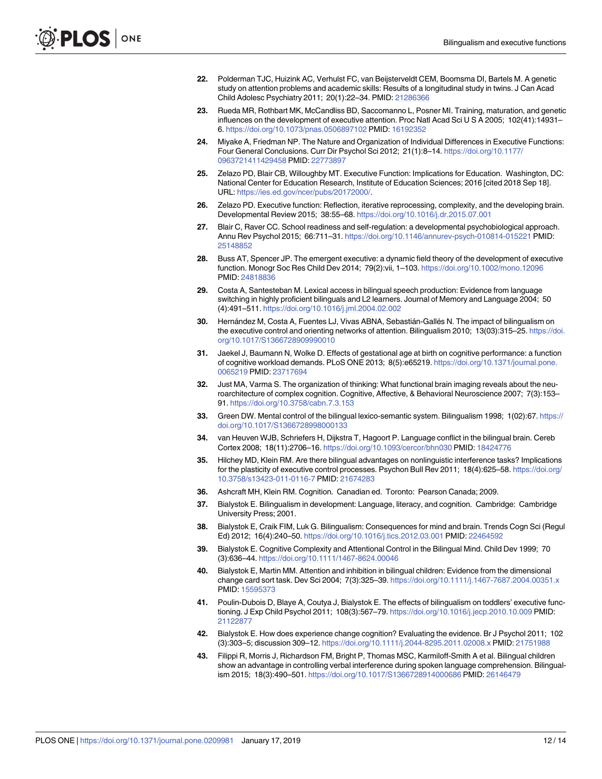- <span id="page-12-0"></span>**22.** Polderman TJC, Huizink AC, Verhulst FC, van Beijsterveldt CEM, Boomsma DI, Bartels M. A genetic study on attention problems and academic skills: Results of a longitudinal study in twins. J Can Acad Child Adolesc Psychiatry 2011; 20(1):22–34. PMID: [21286366](http://www.ncbi.nlm.nih.gov/pubmed/21286366)
- **[23](#page-2-0).** Rueda MR, Rothbart MK, McCandliss BD, Saccomanno L, Posner MI. Training, maturation, and genetic influences on the development of executive attention. Proc Natl Acad Sci U S A 2005; 102(41):14931– 6. <https://doi.org/10.1073/pnas.0506897102> PMID: [16192352](http://www.ncbi.nlm.nih.gov/pubmed/16192352)
- **[24](#page-2-0).** Miyake A, Friedman NP. The Nature and Organization of Individual Differences in Executive Functions: Four General Conclusions. Curr Dir Psychol Sci 2012; 21(1):8–14. [https://doi.org/10.1177/](https://doi.org/10.1177/0963721411429458) [0963721411429458](https://doi.org/10.1177/0963721411429458) PMID: [22773897](http://www.ncbi.nlm.nih.gov/pubmed/22773897)
- **[25](#page-2-0).** Zelazo PD, Blair CB, Willoughby MT. Executive Function: Implications for Education. Washington, DC: National Center for Education Research, Institute of Education Sciences; 2016 [cited 2018 Sep 18]. URL: [https://ies.ed.gov/ncer/pubs/20172000/.](https://ies.ed.gov/ncer/pubs/20172000/)
- **[26](#page-2-0).** Zelazo PD. Executive function: Reflection, iterative reprocessing, complexity, and the developing brain. Developmental Review 2015; 38:55–68. <https://doi.org/10.1016/j.dr.2015.07.001>
- **27.** Blair C, Raver CC. School readiness and self-regulation: a developmental psychobiological approach. Annu Rev Psychol 2015; 66:711–31. <https://doi.org/10.1146/annurev-psych-010814-015221> PMID: [25148852](http://www.ncbi.nlm.nih.gov/pubmed/25148852)
- **[28](#page-2-0).** Buss AT, Spencer JP. The emergent executive: a dynamic field theory of the development of executive function. Monogr Soc Res Child Dev 2014; 79(2):vii, 1–103. <https://doi.org/10.1002/mono.12096> PMID: [24818836](http://www.ncbi.nlm.nih.gov/pubmed/24818836)
- **[29](#page-2-0).** Costa A, Santesteban M. Lexical access in bilingual speech production: Evidence from language switching in highly proficient bilinguals and L2 learners. Journal of Memory and Language 2004; 50 (4):491–511. <https://doi.org/10.1016/j.jml.2004.02.002>
- **[30](#page-2-0).** Hernández M, Costa A, Fuentes LJ, Vivas ABNA, Sebastián-Gallés N. The impact of bilingualism on the executive control and orienting networks of attention. Bilingualism 2010; 13(03):315–25. [https://doi.](https://doi.org/10.1017/S1366728909990010) [org/10.1017/S1366728909990010](https://doi.org/10.1017/S1366728909990010)
- **[31](#page-2-0).** Jaekel J, Baumann N, Wolke D. Effects of gestational age at birth on cognitive performance: a function of cognitive workload demands. PLoS ONE 2013; 8(5):e65219. [https://doi.org/10.1371/journal.pone.](https://doi.org/10.1371/journal.pone.0065219) [0065219](https://doi.org/10.1371/journal.pone.0065219) PMID: [23717694](http://www.ncbi.nlm.nih.gov/pubmed/23717694)
- **[32](#page-2-0).** Just MA, Varma S. The organization of thinking: What functional brain imaging reveals about the neuroarchitecture of complex cognition. Cognitive, Affective, & Behavioral Neuroscience 2007; 7(3):153– 91. <https://doi.org/10.3758/cabn.7.3.153>
- **[33](#page-2-0).** Green DW. Mental control of the bilingual lexico-semantic system. Bilingualism 1998; 1(02):67. [https://](https://doi.org/10.1017/S1366728998000133) [doi.org/10.1017/S1366728998000133](https://doi.org/10.1017/S1366728998000133)
- **[34](#page-2-0).** van Heuven WJB, Schriefers H, Dijkstra T, Hagoort P. Language conflict in the bilingual brain. Cereb Cortex 2008; 18(11):2706–16. <https://doi.org/10.1093/cercor/bhn030> PMID: [18424776](http://www.ncbi.nlm.nih.gov/pubmed/18424776)
- **[35](#page-2-0).** Hilchey MD, Klein RM. Are there bilingual advantages on nonlinguistic interference tasks? Implications for the plasticity of executive control processes. Psychon Bull Rev 2011; 18(4):625–58. [https://doi.org/](https://doi.org/10.3758/s13423-011-0116-7) [10.3758/s13423-011-0116-7](https://doi.org/10.3758/s13423-011-0116-7) PMID: [21674283](http://www.ncbi.nlm.nih.gov/pubmed/21674283)
- **[36](#page-2-0).** Ashcraft MH, Klein RM. Cognition. Canadian ed. Toronto: Pearson Canada; 2009.
- **[37](#page-2-0).** Bialystok E. Bilingualism in development: Language, literacy, and cognition. Cambridge: Cambridge University Press; 2001.
- **[38](#page-2-0).** Bialystok E, Craik FIM, Luk G. Bilingualism: Consequences for mind and brain. Trends Cogn Sci (Regul Ed) 2012; 16(4):240–50. <https://doi.org/10.1016/j.tics.2012.03.001> PMID: [22464592](http://www.ncbi.nlm.nih.gov/pubmed/22464592)
- **[39](#page-3-0).** Bialystok E. Cognitive Complexity and Attentional Control in the Bilingual Mind. Child Dev 1999; 70 (3):636–44. <https://doi.org/10.1111/1467-8624.00046>
- **40.** Bialystok E, Martin MM. Attention and inhibition in bilingual children: Evidence from the dimensional change card sort task. Dev Sci 2004; 7(3):325–39. <https://doi.org/10.1111/j.1467-7687.2004.00351.x> PMID: [15595373](http://www.ncbi.nlm.nih.gov/pubmed/15595373)
- **41.** Poulin-Dubois D, Blaye A, Coutya J, Bialystok E. The effects of bilingualism on toddlers' executive functioning. J Exp Child Psychol 2011; 108(3):567–79. <https://doi.org/10.1016/j.jecp.2010.10.009> PMID: [21122877](http://www.ncbi.nlm.nih.gov/pubmed/21122877)
- **42.** Bialystok E. How does experience change cognition? Evaluating the evidence. Br J Psychol 2011; 102 (3):303–5; discussion 309–12. <https://doi.org/10.1111/j.2044-8295.2011.02008.x> PMID: [21751988](http://www.ncbi.nlm.nih.gov/pubmed/21751988)
- **[43](#page-3-0).** Filippi R, Morris J, Richardson FM, Bright P, Thomas MSC, Karmiloff-Smith A et al. Bilingual children show an advantage in controlling verbal interference during spoken language comprehension. Bilingualism 2015; 18(3):490–501. <https://doi.org/10.1017/S1366728914000686> PMID: [26146479](http://www.ncbi.nlm.nih.gov/pubmed/26146479)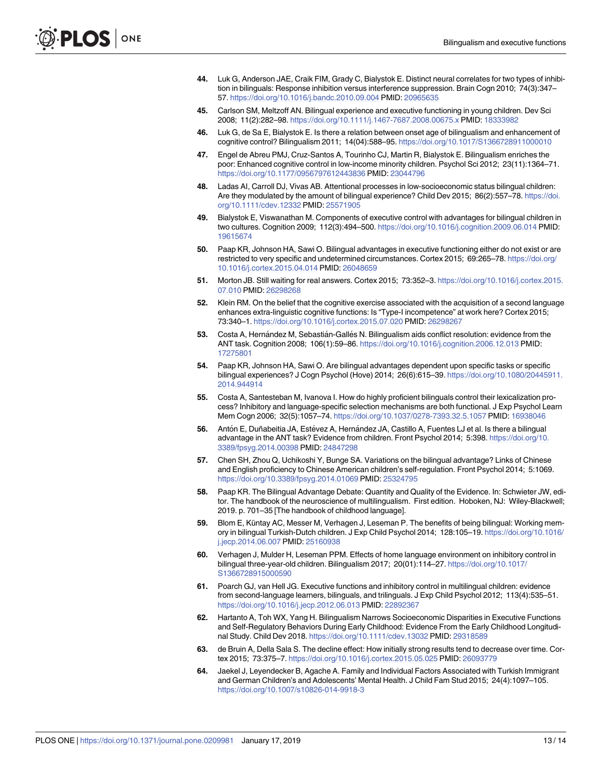- <span id="page-13-0"></span>**[44](#page-3-0).** Luk G, Anderson JAE, Craik FIM, Grady C, Bialystok E. Distinct neural correlates for two types of inhibition in bilinguals: Response inhibition versus interference suppression. Brain Cogn 2010; 74(3):347– 57. <https://doi.org/10.1016/j.bandc.2010.09.004> PMID: [20965635](http://www.ncbi.nlm.nih.gov/pubmed/20965635)
- **[45](#page-3-0).** Carlson SM, Meltzoff AN. Bilingual experience and executive functioning in young children. Dev Sci 2008; 11(2):282–98. <https://doi.org/10.1111/j.1467-7687.2008.00675.x> PMID: [18333982](http://www.ncbi.nlm.nih.gov/pubmed/18333982)
- **[46](#page-3-0).** Luk G, de Sa E, Bialystok E. Is there a relation between onset age of bilingualism and enhancement of cognitive control? Bilingualism 2011; 14(04):588–95. <https://doi.org/10.1017/S1366728911000010>
- **[47](#page-3-0).** Engel de Abreu PMJ, Cruz-Santos A, Tourinho CJ, Martin R, Bialystok E. Bilingualism enriches the poor: Enhanced cognitive control in low-income minority children. Psychol Sci 2012; 23(11):1364–71. <https://doi.org/10.1177/0956797612443836> PMID: [23044796](http://www.ncbi.nlm.nih.gov/pubmed/23044796)
- **[48](#page-3-0).** Ladas AI, Carroll DJ, Vivas AB. Attentional processes in low-socioeconomic status bilingual children: Are they modulated by the amount of bilingual experience? Child Dev 2015; 86(2):557–78. [https://doi.](https://doi.org/10.1111/cdev.12332) [org/10.1111/cdev.12332](https://doi.org/10.1111/cdev.12332) PMID: [25571905](http://www.ncbi.nlm.nih.gov/pubmed/25571905)
- **[49](#page-3-0).** Bialystok E, Viswanathan M. Components of executive control with advantages for bilingual children in two cultures. Cognition 2009; 112(3):494–500. <https://doi.org/10.1016/j.cognition.2009.06.014> PMID: [19615674](http://www.ncbi.nlm.nih.gov/pubmed/19615674)
- **[50](#page-3-0).** Paap KR, Johnson HA, Sawi O. Bilingual advantages in executive functioning either do not exist or are restricted to very specific and undetermined circumstances. Cortex 2015; 69:265–78. [https://doi.org/](https://doi.org/10.1016/j.cortex.2015.04.014) [10.1016/j.cortex.2015.04.014](https://doi.org/10.1016/j.cortex.2015.04.014) PMID: [26048659](http://www.ncbi.nlm.nih.gov/pubmed/26048659)
- **[51](#page-3-0).** Morton JB. Still waiting for real answers. Cortex 2015; 73:352–3. [https://doi.org/10.1016/j.cortex.2015.](https://doi.org/10.1016/j.cortex.2015.07.010) [07.010](https://doi.org/10.1016/j.cortex.2015.07.010) PMID: [26298268](http://www.ncbi.nlm.nih.gov/pubmed/26298268)
- **[52](#page-3-0).** Klein RM. On the belief that the cognitive exercise associated with the acquisition of a second language enhances extra-linguistic cognitive functions: Is "Type-I incompetence" at work here? Cortex 2015; 73:340–1. <https://doi.org/10.1016/j.cortex.2015.07.020> PMID: [26298267](http://www.ncbi.nlm.nih.gov/pubmed/26298267)
- **[53](#page-3-0).** Costa A, Hernández M, Sebastián-Gallés N. Bilingualism aids conflict resolution: evidence from the ANT task. Cognition 2008; 106(1):59–86. <https://doi.org/10.1016/j.cognition.2006.12.013> PMID: [17275801](http://www.ncbi.nlm.nih.gov/pubmed/17275801)
- **[54](#page-3-0).** Paap KR, Johnson HA, Sawi O. Are bilingual advantages dependent upon specific tasks or specific bilingual experiences? J Cogn Psychol (Hove) 2014; 26(6):615–39. [https://doi.org/10.1080/20445911.](https://doi.org/10.1080/20445911.2014.944914) [2014.944914](https://doi.org/10.1080/20445911.2014.944914)
- **[55](#page-3-0).** Costa A, Santesteban M, Ivanova I. How do highly proficient bilinguals control their lexicalization process? Inhibitory and language-specific selection mechanisms are both functional. J Exp Psychol Learn Mem Cogn 2006; 32(5):1057–74. <https://doi.org/10.1037/0278-7393.32.5.1057> PMID: [16938046](http://www.ncbi.nlm.nih.gov/pubmed/16938046)
- **[56](#page-3-0).** Antón E, Duñabeitia JA, Estévez A, Hernández JA, Castillo A, Fuentes LJ et al. Is there a bilingual advantage in the ANT task? Evidence from children. Front Psychol 2014; 5:398. [https://doi.org/10.](https://doi.org/10.3389/fpsyg.2014.00398) [3389/fpsyg.2014.00398](https://doi.org/10.3389/fpsyg.2014.00398) PMID: [24847298](http://www.ncbi.nlm.nih.gov/pubmed/24847298)
- **[57](#page-3-0).** Chen SH, Zhou Q, Uchikoshi Y, Bunge SA. Variations on the bilingual advantage? Links of Chinese and English proficiency to Chinese American children's self-regulation. Front Psychol 2014; 5:1069. <https://doi.org/10.3389/fpsyg.2014.01069> PMID: [25324795](http://www.ncbi.nlm.nih.gov/pubmed/25324795)
- **[58](#page-3-0).** Paap KR. The Bilingual Advantage Debate: Quantity and Quality of the Evidence. In: Schwieter JW, editor. The handbook of the neuroscience of multilingualism. First edition. Hoboken, NJ: Wiley-Blackwell; 2019. p. 701–35 [The handbook of childhood language].
- **[59](#page-4-0).** Blom E, Küntay AC, Messer M, Verhagen J, Leseman P. The benefits of being bilingual: Working memory in bilingual Turkish-Dutch children. J Exp Child Psychol 2014; 128:105–19. [https://doi.org/10.1016/](https://doi.org/10.1016/j.jecp.2014.06.007) [j.jecp.2014.06.007](https://doi.org/10.1016/j.jecp.2014.06.007) PMID: [25160938](http://www.ncbi.nlm.nih.gov/pubmed/25160938)
- **60.** Verhagen J, Mulder H, Leseman PPM. Effects of home language environment on inhibitory control in bilingual three-year-old children. Bilingualism 2017; 20(01):114–27. [https://doi.org/10.1017/](https://doi.org/10.1017/S1366728915000590) [S1366728915000590](https://doi.org/10.1017/S1366728915000590)
- **[61](#page-4-0).** Poarch GJ, van Hell JG. Executive functions and inhibitory control in multilingual children: evidence from second-language learners, bilinguals, and trilinguals. J Exp Child Psychol 2012; 113(4):535–51. <https://doi.org/10.1016/j.jecp.2012.06.013> PMID: [22892367](http://www.ncbi.nlm.nih.gov/pubmed/22892367)
- **[62](#page-4-0).** Hartanto A, Toh WX, Yang H. Bilingualism Narrows Socioeconomic Disparities in Executive Functions and Self-Regulatory Behaviors During Early Childhood: Evidence From the Early Childhood Longitudinal Study. Child Dev 2018. <https://doi.org/10.1111/cdev.13032> PMID: [29318589](http://www.ncbi.nlm.nih.gov/pubmed/29318589)
- **[63](#page-4-0).** de Bruin A, Della Sala S. The decline effect: How initially strong results tend to decrease over time. Cortex 2015; 73:375–7. <https://doi.org/10.1016/j.cortex.2015.05.025> PMID: [26093779](http://www.ncbi.nlm.nih.gov/pubmed/26093779)
- **[64](#page-5-0).** Jaekel J, Leyendecker B, Agache A. Family and Individual Factors Associated with Turkish Immigrant and German Children's and Adolescents' Mental Health. J Child Fam Stud 2015; 24(4):1097–105. <https://doi.org/10.1007/s10826-014-9918-3>